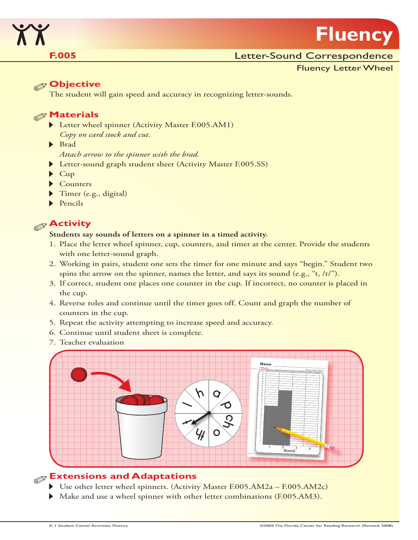

# **Fluency**

#### **F.005 E.005 Letter-Sound Correspondence**

Fluency Letter Wheel

#### **Objective**

The student will gain speed and accuracy in recognizing letter-sounds.

#### **Materials**

- Letter wheel spinner (Activity Master F.005.AM1) *Copy on card stock and cut.*
- Brad
	- *Attach arrow to the spinner with the brad.*
- Letter-sound graph student sheet (Activity Master F.005.SS)
- $\blacktriangleright$  Cup
- Counters
- Timer (e.g., digital)
- $\blacktriangleright$  Pencils

# **Activity**

#### **Students say sounds of letters on a spinner in a timed activity.**

- 1. Place the letter wheel spinner, cup, counters, and timer at the center. Provide the students with one letter-sound graph.
- 2. Working in pairs, student one sets the timer for one minute and says "begin." Student two spins the arrow on the spinner, names the letter, and says its sound (e.g., " $t$ , / $t$ )").
- 3. If correct, student one places one counter in the cup. If incorrect, no counter is placed in the cup.
- 4. Reverse roles and continue until the timer goes off. Count and graph the number of counters in the cup.
- 5. Repeat the activity attempting to increase speed and accuracy.
- 6. Continue until student sheet is complete.
- 7. Teacher evaluation



# **Extensions and Adaptations**

- Use other letter wheel spinners. (Activity Master F.005.AM2a F.005.AM2c)
- Make and use a wheel spinner with other letter combinations (F.005.AM3).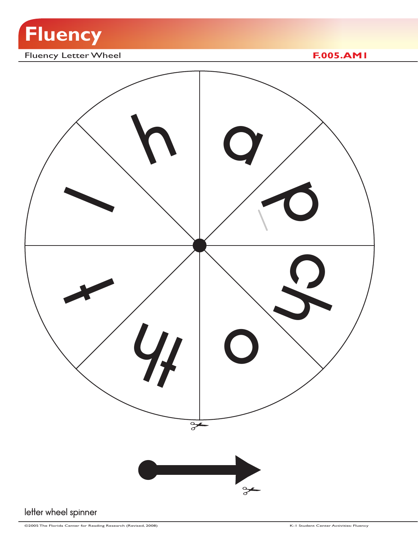

# Fluency Letter Wheel **F.005.AM1**

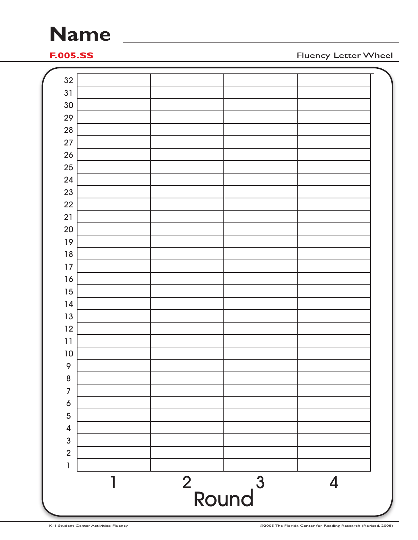# **Name**

**F.005.SS** Fluency Letter Wheel

| 27<br>26                |  |  |  |
|-------------------------|--|--|--|
| 25                      |  |  |  |
| 24<br>23                |  |  |  |
| 22                      |  |  |  |
| 21                      |  |  |  |
| 20                      |  |  |  |
| 19                      |  |  |  |
| $18$                    |  |  |  |
| $17$                    |  |  |  |
| 16                      |  |  |  |
| 15                      |  |  |  |
| 14<br>13                |  |  |  |
| 12                      |  |  |  |
| 11                      |  |  |  |
| $10\,$                  |  |  |  |
| $\mathsf{\circ}$        |  |  |  |
| $\boldsymbol{8}$        |  |  |  |
| $\overline{7}$          |  |  |  |
| 6                       |  |  |  |
| 5                       |  |  |  |
| $\overline{\mathbf{4}}$ |  |  |  |
| $\mathbf{3}$            |  |  |  |
| $\overline{2}$          |  |  |  |
| 1                       |  |  |  |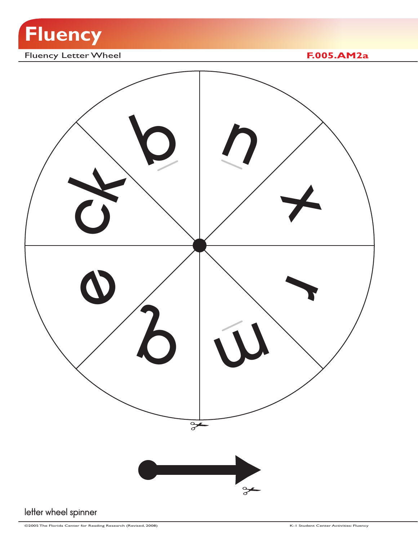

# Fluency Letter Wheel **F.005.AM2a**

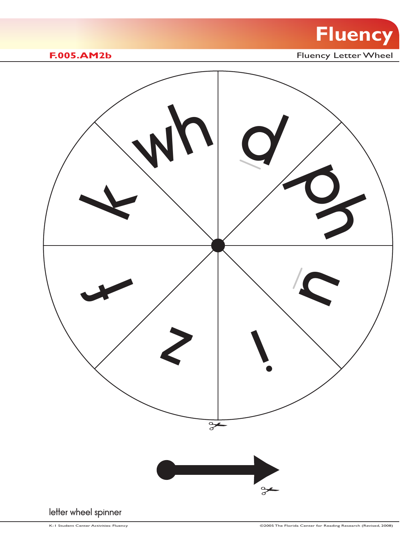

**F.005.AM2b** Fluency Letter Wheel

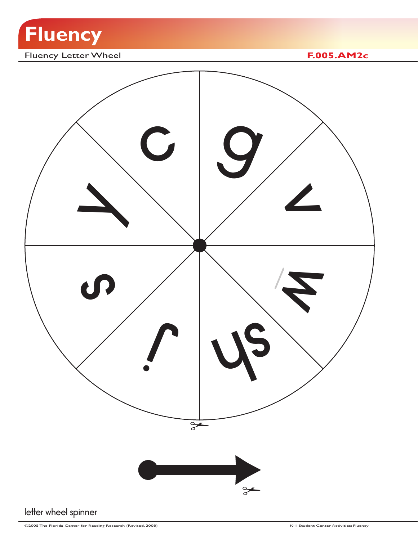

# Fluency Letter Wheel **F.005.AM2c**